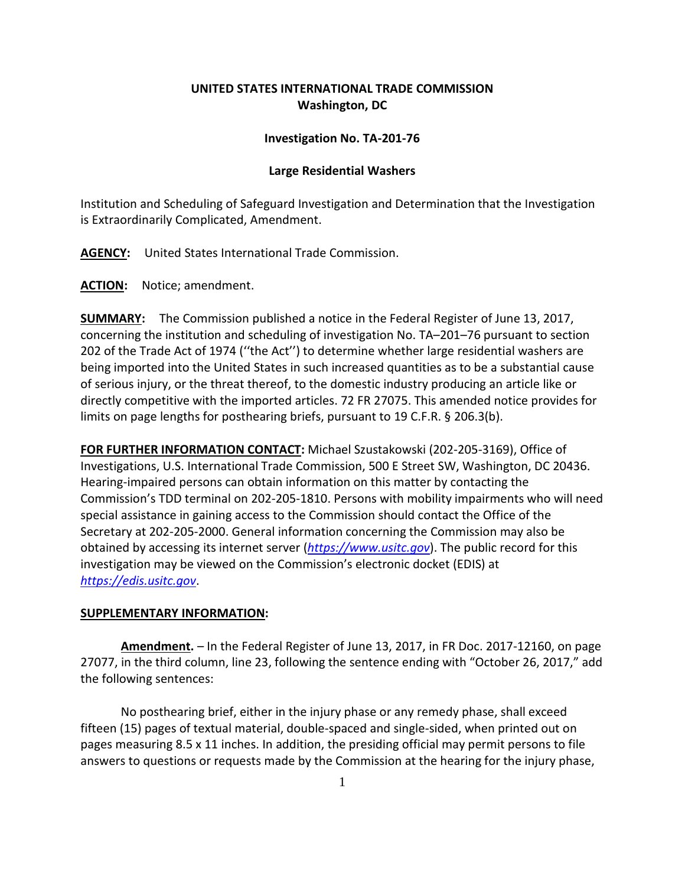## **UNITED STATES INTERNATIONAL TRADE COMMISSION Washington, DC**

## **Investigation No. TA-201-76**

## **Large Residential Washers**

Institution and Scheduling of Safeguard Investigation and Determination that the Investigation is Extraordinarily Complicated, Amendment.

**AGENCY:** United States International Trade Commission.

**ACTION:** Notice; amendment.

**SUMMARY:** The Commission published a notice in the Federal Register of June 13, 2017, concerning the institution and scheduling of investigation No. TA–201–76 pursuant to section 202 of the Trade Act of 1974 (''the Act'') to determine whether large residential washers are being imported into the United States in such increased quantities as to be a substantial cause of serious injury, or the threat thereof, to the domestic industry producing an article like or directly competitive with the imported articles. 72 FR 27075. This amended notice provides for limits on page lengths for posthearing briefs, pursuant to 19 C.F.R. § 206.3(b).

**FOR FURTHER INFORMATION CONTACT:** Michael Szustakowski (202‐205‐3169), Office of Investigations, U.S. International Trade Commission, 500 E Street SW, Washington, DC 20436. Hearing‐impaired persons can obtain information on this matter by contacting the Commission's TDD terminal on 202‐205‐1810. Persons with mobility impairments who will need special assistance in gaining access to the Commission should contact the Office of the Secretary at 202‐205‐2000. General information concerning the Commission may also be obtained by accessing its internet server (*[https://www.usitc.gov](https://www.usitc.gov/)*). The public record for this investigation may be viewed on the Commission's electronic docket (EDIS) at *[https://edis.usitc.gov](https://edis.usitc.gov/)*.

## **SUPPLEMENTARY INFORMATION:**

**Amendment.** – In the Federal Register of June 13, 2017, in FR Doc. 2017-12160, on page 27077, in the third column, line 23, following the sentence ending with "October 26, 2017," add the following sentences:

No posthearing brief, either in the injury phase or any remedy phase, shall exceed fifteen (15) pages of textual material, double-spaced and single-sided, when printed out on pages measuring 8.5 x 11 inches. In addition, the presiding official may permit persons to file answers to questions or requests made by the Commission at the hearing for the injury phase,